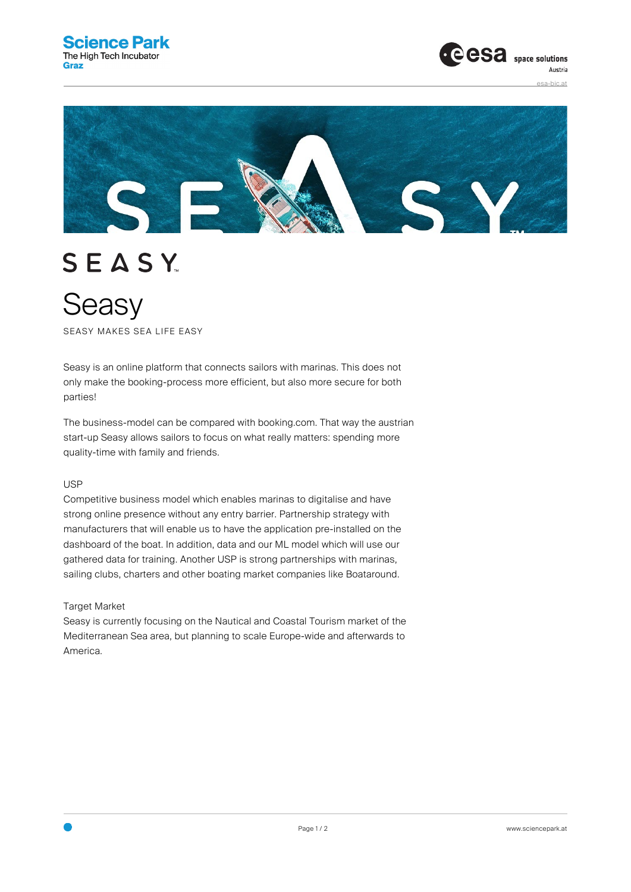**C** CSA space solutions Austria esa-bic.at



## SEASY

**Seasy** 

SEASY MAKES SEA LIFE EASY

Seasy is an online platform that connects sailors with marinas. This does not only make the booking-process more efficient, but also more secure for both parties!

The business-model can be compared with booking.com. That way the austrian start-up Seasy allows sailors to focus on what really matters: spending more quality-time with family and friends.

## USP

Competitive business model which enables marinas to digitalise and have strong online presence without any entry barrier. Partnership strategy with manufacturers that will enable us to have the application pre-installed on the dashboard of the boat. In addition, data and our ML model which will use our gathered data for training. Another USP is strong partnerships with marinas, sailing clubs, charters and other boating market companies like Boataround.

## Target Market

Seasy is currently focusing on the Nautical and Coastal Tourism market of the Mediterranean Sea area, but planning to scale Europe-wide and afterwards to America.